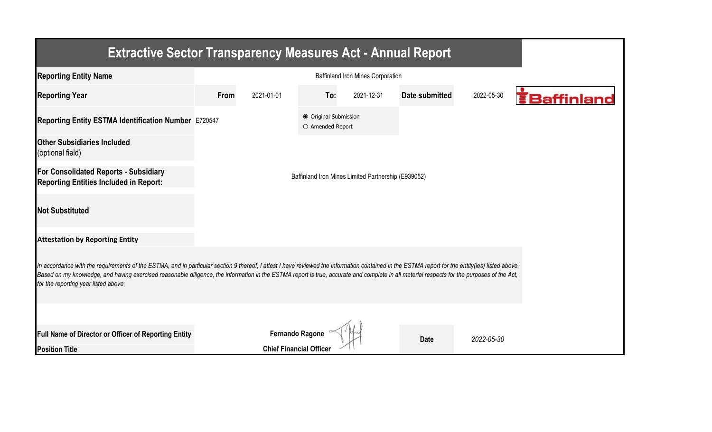| <b>Extractive Sector Transparency Measures Act - Annual Report</b>                                                                                                                                                                                                                                                                                                                                                                    |                                                     |                                |                                           |            |                |            |                     |  |  |  |
|---------------------------------------------------------------------------------------------------------------------------------------------------------------------------------------------------------------------------------------------------------------------------------------------------------------------------------------------------------------------------------------------------------------------------------------|-----------------------------------------------------|--------------------------------|-------------------------------------------|------------|----------------|------------|---------------------|--|--|--|
| <b>Reporting Entity Name</b>                                                                                                                                                                                                                                                                                                                                                                                                          |                                                     |                                |                                           |            |                |            |                     |  |  |  |
| <b>Reporting Year</b>                                                                                                                                                                                                                                                                                                                                                                                                                 | From                                                | 2021-01-01                     | To:                                       | 2021-12-31 | Date submitted | 2022-05-30 | <b>E</b> Baffinland |  |  |  |
| Reporting Entity ESTMA Identification Number E720547                                                                                                                                                                                                                                                                                                                                                                                  |                                                     |                                | ● Original Submission<br>O Amended Report |            |                |            |                     |  |  |  |
| <b>Other Subsidiaries Included</b><br>(optional field)                                                                                                                                                                                                                                                                                                                                                                                |                                                     |                                |                                           |            |                |            |                     |  |  |  |
| For Consolidated Reports - Subsidiary<br><b>Reporting Entities Included in Report:</b>                                                                                                                                                                                                                                                                                                                                                | Baffinland Iron Mines Limited Partnership (E939052) |                                |                                           |            |                |            |                     |  |  |  |
| <b>Not Substituted</b>                                                                                                                                                                                                                                                                                                                                                                                                                |                                                     |                                |                                           |            |                |            |                     |  |  |  |
| <b>Attestation by Reporting Entity</b>                                                                                                                                                                                                                                                                                                                                                                                                |                                                     |                                |                                           |            |                |            |                     |  |  |  |
| In accordance with the requirements of the ESTMA, and in particular section 9 thereof, I attest I have reviewed the information contained in the ESTMA report for the entity(ies) listed above.<br>Based on my knowledge, and having exercised reasonable diligence, the information in the ESTMA report is true, accurate and complete in all material respects for the purposes of the Act,<br>for the reporting year listed above. |                                                     |                                |                                           |            |                |            |                     |  |  |  |
|                                                                                                                                                                                                                                                                                                                                                                                                                                       |                                                     |                                |                                           |            |                |            |                     |  |  |  |
| Full Name of Director or Officer of Reporting Entity                                                                                                                                                                                                                                                                                                                                                                                  |                                                     | <b>Fernando Ragone</b>         |                                           |            | <b>Date</b>    | 2022-05-30 |                     |  |  |  |
| <b>Position Title</b>                                                                                                                                                                                                                                                                                                                                                                                                                 |                                                     | <b>Chief Financial Officer</b> |                                           |            |                |            |                     |  |  |  |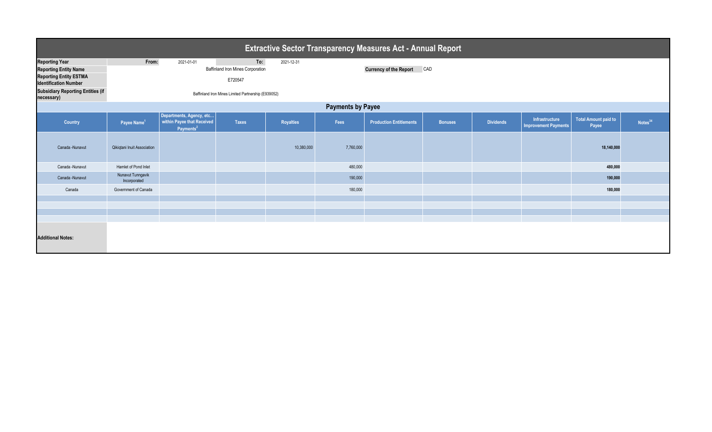| <b>Extractive Sector Transparency Measures Act - Annual Report</b> |                                                     |                                                                                 |              |            |                                      |                                |                |                  |                                               |                                      |                     |  |
|--------------------------------------------------------------------|-----------------------------------------------------|---------------------------------------------------------------------------------|--------------|------------|--------------------------------------|--------------------------------|----------------|------------------|-----------------------------------------------|--------------------------------------|---------------------|--|
| <b>Reporting Year</b>                                              | From:                                               | 2021-01-01                                                                      | To:          | 2021-12-31 |                                      |                                |                |                  |                                               |                                      |                     |  |
| <b>Reporting Entity Name</b>                                       | Baffinland Iron Mines Corporation                   |                                                                                 |              |            | <b>Currency of the Report</b><br>CAD |                                |                |                  |                                               |                                      |                     |  |
| <b>Reporting Entity ESTMA</b><br><b>Identification Number</b>      |                                                     |                                                                                 | E720547      |            |                                      |                                |                |                  |                                               |                                      |                     |  |
| <b>Subsidiary Reporting Entities (if</b><br>necessary)             | Baffinland Iron Mines Limited Partnership (E939052) |                                                                                 |              |            |                                      |                                |                |                  |                                               |                                      |                     |  |
| <b>Payments by Payee</b>                                           |                                                     |                                                                                 |              |            |                                      |                                |                |                  |                                               |                                      |                     |  |
| Country                                                            | Payee Name <sup>1</sup>                             | Departments, Agency, etc<br>within Payee that Received<br>Payments <sup>2</sup> | <b>Taxes</b> | Royalties  | Fees                                 | <b>Production Entitlements</b> | <b>Bonuses</b> | <b>Dividends</b> | Infrastructure<br><b>Improvement Payments</b> | <b>Total Amount paid to</b><br>Payee | Notes <sup>34</sup> |  |
| Canada -Nunavut                                                    | Qikiqtani Inuit Association                         |                                                                                 |              | 10,380,000 | 7,760,000                            |                                |                |                  |                                               | 18,140,000                           |                     |  |
| Canada -Nunavut                                                    | Hamlet of Pond Inlet                                |                                                                                 |              |            | 480,000                              |                                |                |                  |                                               | 480,000                              |                     |  |
| Canada -Nunavut                                                    | Nunavut Tunngavik<br>Incorporated                   |                                                                                 |              |            | 190,000                              |                                |                |                  |                                               | 190,000                              |                     |  |
| Canada                                                             | Government of Canada                                |                                                                                 |              |            | 180,000                              |                                |                |                  |                                               | 180,000                              |                     |  |
|                                                                    |                                                     |                                                                                 |              |            |                                      |                                |                |                  |                                               |                                      |                     |  |
|                                                                    |                                                     |                                                                                 |              |            |                                      |                                |                |                  |                                               |                                      |                     |  |
|                                                                    |                                                     |                                                                                 |              |            |                                      |                                |                |                  |                                               |                                      |                     |  |
| <b>Additional Notes:</b>                                           |                                                     |                                                                                 |              |            |                                      |                                |                |                  |                                               |                                      |                     |  |